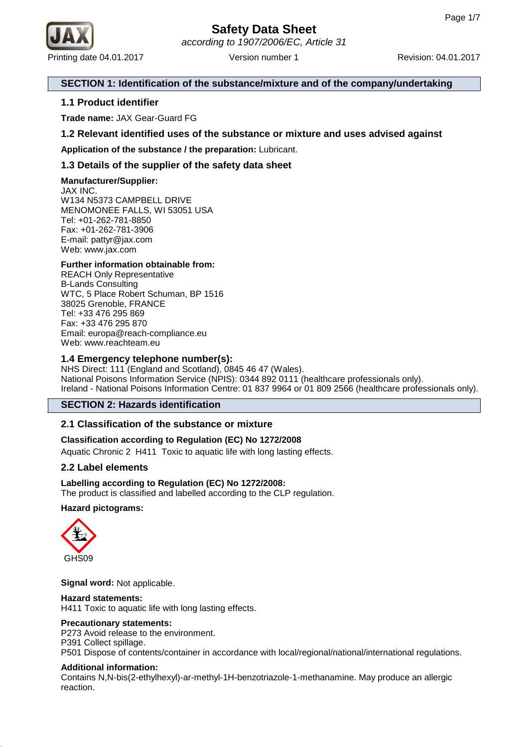

# **SECTION 1: Identification of the substance/mixture and of the company/undertaking**

# **1.1 Product identifier**

**Trade name:** JAX Gear-Guard FG

# **1.2 Relevant identified uses of the substance or mixture and uses advised against**

**Application of the substance / the preparation:** Lubricant.

# **1.3 Details of the supplier of the safety data sheet**

# **Manufacturer/Supplier:**

JAX INC. W134 N5373 CAMPBELL DRIVE MENOMONEE FALLS, WI 53051 USA Tel: +01-262-781-8850 Fax: +01-262-781-3906 E-mail: pattyr@jax.com Web: www.jax.com

# **Further information obtainable from:**

REACH Only Representative B-Lands Consulting WTC, 5 Place Robert Schuman, BP 1516 38025 Grenoble, FRANCE Tel: +33 476 295 869 Fax: +33 476 295 870 Email: europa@reach-compliance.eu Web: www.reachteam.eu

# **1.4 Emergency telephone number(s):**

NHS Direct: 111 (England and Scotland), 0845 46 47 (Wales). National Poisons Information Service (NPIS): 0344 892 0111 (healthcare professionals only). Ireland - National Poisons Information Centre: 01 837 9964 or 01 809 2566 (healthcare professionals only).

# **SECTION 2: Hazards identification**

# **2.1 Classification of the substance or mixture**

# **Classification according to Regulation (EC) No 1272/2008**

Aquatic Chronic 2 H411 Toxic to aquatic life with long lasting effects.

# **2.2 Label elements**

# **Labelling according to Regulation (EC) No 1272/2008:**

The product is classified and labelled according to the CLP regulation.

# **Hazard pictograms:**



**Signal word:** Not applicable.

# **Hazard statements:**

H411 Toxic to aquatic life with long lasting effects.

# **Precautionary statements:**

P273 Avoid release to the environment.

P391 Collect spillage.

P501 Dispose of contents/container in accordance with local/regional/national/international regulations.

# **Additional information:**

Contains N,N-bis(2-ethylhexyl)-ar-methyl-1H-benzotriazole-1-methanamine. May produce an allergic reaction.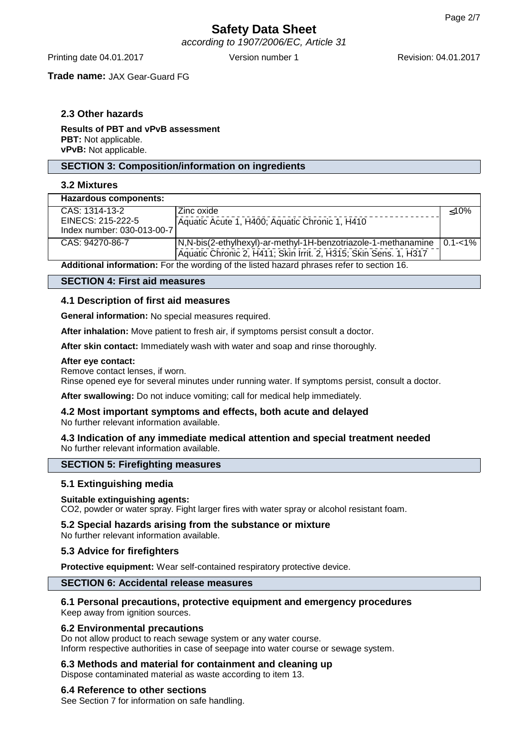# **Safety Data Sheet** according to 1907/2006/EC, Article 31

Printing date 04.01.2017 Version number 1 Revision: 04.01.2017

**Trade name:** JAX Gear-Guard FG

# **2.3 Other hazards**

**Results of PBT and vPvB assessment PBT:** Not applicable. **vPvB:** Not applicable.

## **SECTION 3: Composition/information on ingredients**

## **3.2 Mixtures**

| <b>Hazardous components:</b>                                                             |                                                                  |             |
|------------------------------------------------------------------------------------------|------------------------------------------------------------------|-------------|
| CAS: 1314-13-2                                                                           | Zinc oxide                                                       | $<$ 10%     |
| EINECS: 215-222-5                                                                        | Aquatic Acute 1, H400; Aquatic Chronic 1, H410                   |             |
| Index number: 030-013-00-7                                                               |                                                                  |             |
| CAS: 94270-86-7                                                                          | N,N-bis(2-ethylhexyl)-ar-methyl-1H-benzotriazole-1-methanamine   | $0.1 - 1\%$ |
|                                                                                          | Aquatic Chronic 2, H411; Skin Irrit. 2, H315; Skin Sens. 1, H317 |             |
| Additional information: Ear the werding of the listed begand phrases refer to section 16 |                                                                  |             |

**Additional information:** For the wording of the listed hazard phrases refer to section 16.

#### **SECTION 4: First aid measures**

## **4.1 Description of first aid measures**

**General information:** No special measures required.

**After inhalation:** Move patient to fresh air, if symptoms persist consult a doctor.

**After skin contact:** Immediately wash with water and soap and rinse thoroughly.

#### **After eye contact:**

Remove contact lenses, if worn.

Rinse opened eye for several minutes under running water. If symptoms persist, consult a doctor.

**After swallowing:** Do not induce vomiting; call for medical help immediately.

# **4.2 Most important symptoms and effects, both acute and delayed**

No further relevant information available.

## **4.3 Indication of any immediate medical attention and special treatment needed** No further relevant information available.

## **SECTION 5: Firefighting measures**

## **5.1 Extinguishing media**

## **Suitable extinguishing agents:**

CO2, powder or water spray. Fight larger fires with water spray or alcohol resistant foam.

# **5.2 Special hazards arising from the substance or mixture**

No further relevant information available.

## **5.3 Advice for firefighters**

**Protective equipment:** Wear self-contained respiratory protective device.

# **SECTION 6: Accidental release measures**

## **6.1 Personal precautions, protective equipment and emergency procedures**

Keep away from ignition sources.

## **6.2 Environmental precautions**

Do not allow product to reach sewage system or any water course. Inform respective authorities in case of seepage into water course or sewage system.

## **6.3 Methods and material for containment and cleaning up**

Dispose contaminated material as waste according to item 13.

## **6.4 Reference to other sections**

See Section 7 for information on safe handling.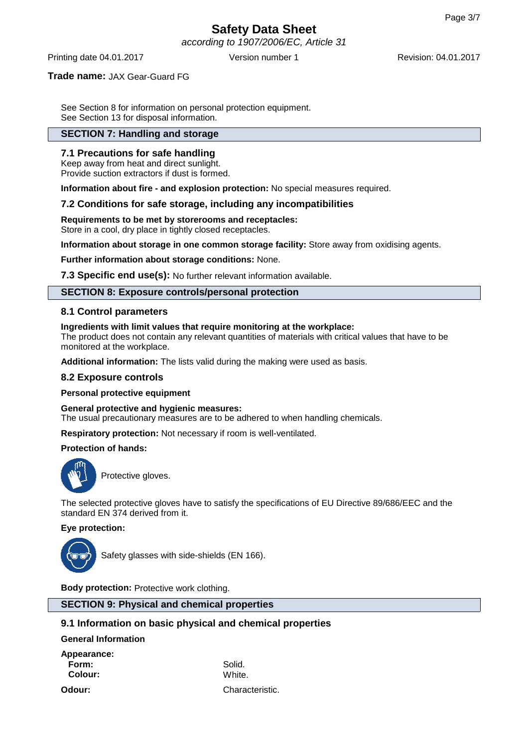according to 1907/2006/EC, Article 31

Printing date 04.01.2017 Version number 1 Revision: 04.01.2017

## **Trade name:** JAX Gear-Guard FG

See Section 8 for information on personal protection equipment. See Section 13 for disposal information.

# **SECTION 7: Handling and storage**

## **7.1 Precautions for safe handling**

Keep away from heat and direct sunlight. Provide suction extractors if dust is formed.

**Information about fire - and explosion protection:** No special measures required.

## **7.2 Conditions for safe storage, including any incompatibilities**

**Requirements to be met by storerooms and receptacles:**

Store in a cool, dry place in tightly closed receptacles.

**Information about storage in one common storage facility:** Store away from oxidising agents.

**Further information about storage conditions:** None.

**7.3 Specific end use(s):** No further relevant information available.

# **SECTION 8: Exposure controls/personal protection**

## **8.1 Control parameters**

#### **Ingredients with limit values that require monitoring at the workplace:**

The product does not contain any relevant quantities of materials with critical values that have to be monitored at the workplace.

**Additional information:** The lists valid during the making were used as basis.

## **8.2 Exposure controls**

## **Personal protective equipment**

**General protective and hygienic measures:**

The usual precautionary measures are to be adhered to when handling chemicals.

**Respiratory protection:** Not necessary if room is well-ventilated.

## **Protection of hands:**



Protective gloves.

The selected protective gloves have to satisfy the specifications of EU Directive 89/686/EEC and the standard EN 374 derived from it.

## **Eye protection:**



Safety glasses with side-shields (EN 166).

**Body protection:** Protective work clothing.

**SECTION 9: Physical and chemical properties**

## **9.1 Information on basic physical and chemical properties**

**General Information**

**Appearance: Form:** Solid. **Colour:** White.

**Odour:** Characteristic.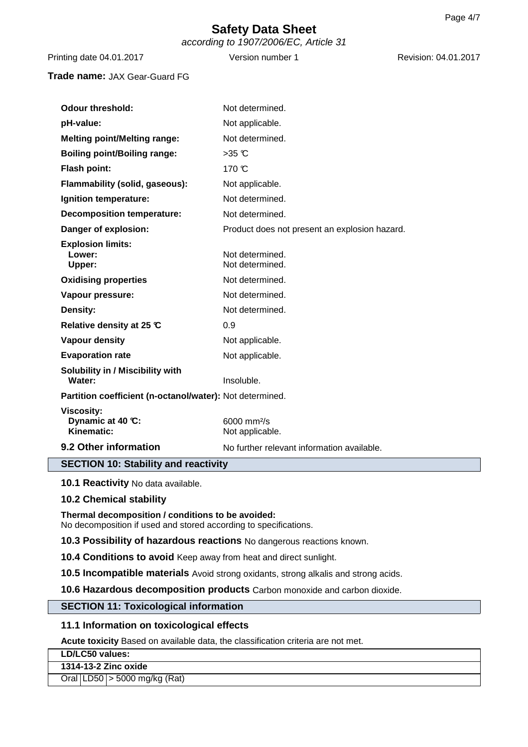according to 1907/2006/EC, Article 31

Printing date 04.01.2017 Version number 1 Revision: 04.01.2017

**Trade name:** JAX Gear-Guard FG

| <b>Odour threshold:</b>                                  | Not determined.                                        |  |  |
|----------------------------------------------------------|--------------------------------------------------------|--|--|
| pH-value:                                                | Not applicable.                                        |  |  |
| <b>Melting point/Melting range:</b>                      | Not determined.                                        |  |  |
| <b>Boiling point/Boiling range:</b>                      | $>35$ C                                                |  |  |
| Flash point:                                             | 170 °C                                                 |  |  |
| Flammability (solid, gaseous):                           | Not applicable.                                        |  |  |
| Ignition temperature:                                    | Not determined.                                        |  |  |
| <b>Decomposition temperature:</b>                        | Not determined.                                        |  |  |
| Danger of explosion:                                     | Product does not present an explosion hazard.          |  |  |
| <b>Explosion limits:</b><br>Lower:<br>Upper:             | Not determined.<br>Not determined.                     |  |  |
| <b>Oxidising properties</b>                              | Not determined.                                        |  |  |
| Vapour pressure:                                         | Not determined.                                        |  |  |
| Density:                                                 | Not determined.                                        |  |  |
| Relative density at 25 ℃                                 | 0.9                                                    |  |  |
| <b>Vapour density</b>                                    | Not applicable.                                        |  |  |
| <b>Evaporation rate</b>                                  | Not applicable.                                        |  |  |
| Solubility in / Miscibility with<br>Water:               | Insoluble.                                             |  |  |
| Partition coefficient (n-octanol/water): Not determined. |                                                        |  |  |
| <b>Viscosity:</b><br>Dynamic at 40 °C:<br>Kinematic:     | $6000 \, \text{mm}$ <sup>2</sup> /s<br>Not applicable. |  |  |
| 9.2 Other information                                    | No further relevant information available.             |  |  |

# **SECTION 10: Stability and reactivity**

**10.1 Reactivity** No data available.

# **10.2 Chemical stability**

**Thermal decomposition / conditions to be avoided:** No decomposition if used and stored according to specifications.

**10.3 Possibility of hazardous reactions** No dangerous reactions known.

**10.4 Conditions to avoid** Keep away from heat and direct sunlight.

**10.5 Incompatible materials** Avoid strong oxidants, strong alkalis and strong acids.

**10.6 Hazardous decomposition products** Carbon monoxide and carbon dioxide.

# **SECTION 11: Toxicological information**

# **11.1 Information on toxicological effects**

**Acute toxicity** Based on available data, the classification criteria are not met.

**LD/LC50 values:**

**1314-13-2 Zinc oxide**

Oral LD50 > 5000 mg/kg (Rat)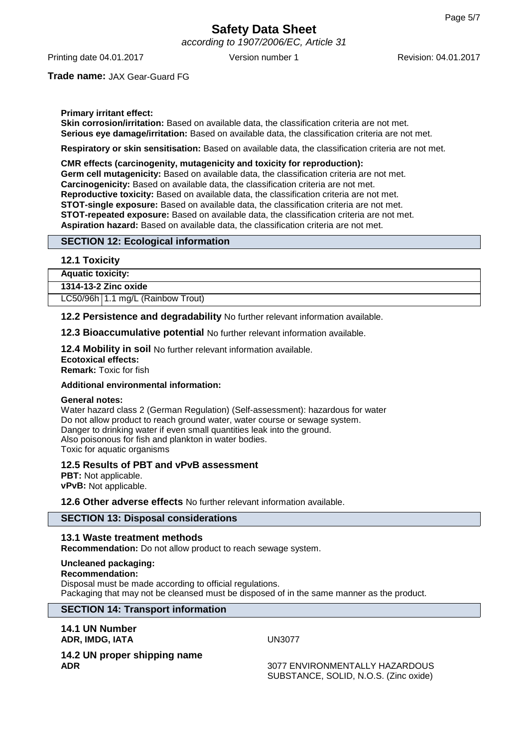according to 1907/2006/EC, Article 31

Printing date 04.01.2017 Version number 1 Revision: 04.01.2017

**Trade name:** JAX Gear-Guard FG

## **Primary irritant effect:**

**Skin corrosion/irritation:** Based on available data, the classification criteria are not met. **Serious eye damage/irritation:** Based on available data, the classification criteria are not met.

**Respiratory or skin sensitisation:** Based on available data, the classification criteria are not met.

**CMR effects (carcinogenity, mutagenicity and toxicity for reproduction): Germ cell mutagenicity:** Based on available data, the classification criteria are not met. **Carcinogenicity:** Based on available data, the classification criteria are not met. **Reproductive toxicity:** Based on available data, the classification criteria are not met. **STOT-single exposure:** Based on available data, the classification criteria are not met. **STOT-repeated exposure:** Based on available data, the classification criteria are not met. **Aspiration hazard:** Based on available data, the classification criteria are not met.

## **SECTION 12: Ecological information**

## **12.1 Toxicity**

**Aquatic toxicity:**

| 1314-13-2 Zinc oxide |  |
|----------------------|--|

LC50/96h 1.1 mg/L (Rainbow Trout)

**12.2 Persistence and degradability** No further relevant information available.

**12.3 Bioaccumulative potential** No further relevant information available.

**12.4 Mobility in soil** No further relevant information available. **Ecotoxical effects:**

**Remark:** Toxic for fish

## **Additional environmental information:**

## **General notes:**

Water hazard class 2 (German Regulation) (Self-assessment): hazardous for water Do not allow product to reach ground water, water course or sewage system. Danger to drinking water if even small quantities leak into the ground. Also poisonous for fish and plankton in water bodies. Toxic for aquatic organisms

## **12.5 Results of PBT and vPvB assessment**

**PBT:** Not applicable. **vPvB:** Not applicable.

**12.6 Other adverse effects** No further relevant information available.

## **SECTION 13: Disposal considerations**

## **13.1 Waste treatment methods**

**Recommendation:** Do not allow product to reach sewage system.

#### **Uncleaned packaging:**

**Recommendation:** Disposal must be made according to official regulations. Packaging that may not be cleansed must be disposed of in the same manner as the product.

# **SECTION 14: Transport information**

**14.1 UN Number ADR, IMDG, IATA** UN3077

**14.2 UN proper shipping name ADR** 3077 ENVIRONMENTALLY HAZARDOUS

SUBSTANCE, SOLID, N.O.S. (Zinc oxide)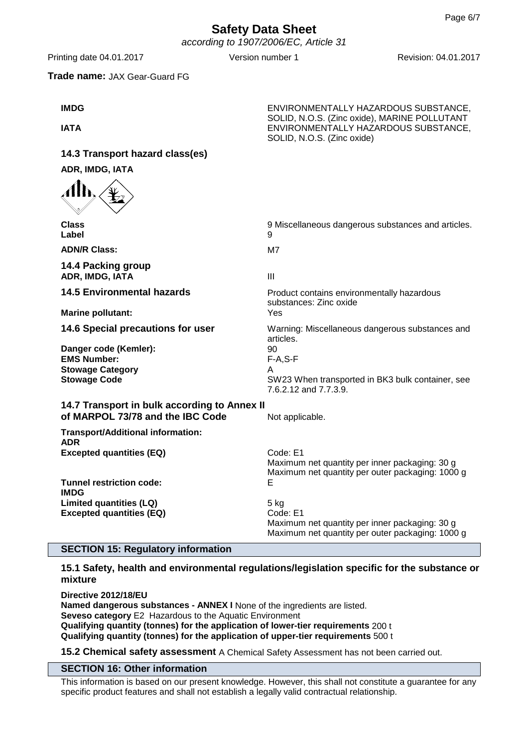# **Safety Data Sheet** according to 1907/2006/EC, Article 31

Printing date 04.01.2017 Version number 1 Revision: 04.01.2017

SOLID, N.O.S. (Zinc oxide), MARINE POLLUTANT

SOLID, N.O.S. (Zinc oxide)

## **Trade name:** JAX Gear-Guard FG

**IMDG** ENVIRONMENTALLY HAZARDOUS SUBSTANCE,

**IATA** ENVIRONMENTALLY HAZARDOUS SUBSTANCE,

**14.3 Transport hazard class(es) ADR, IMDG, IATA**

| <b>Class</b><br>Label                                                                               | 9 Miscellaneous dangerous substances and articles.<br>9                                                                  |  |  |  |
|-----------------------------------------------------------------------------------------------------|--------------------------------------------------------------------------------------------------------------------------|--|--|--|
| <b>ADN/R Class:</b>                                                                                 | M7                                                                                                                       |  |  |  |
| 14.4 Packing group<br>ADR, IMDG, IATA                                                               | $\mathbf{III}$                                                                                                           |  |  |  |
| <b>14.5 Environmental hazards</b>                                                                   | Product contains environmentally hazardous<br>substances: Zinc oxide                                                     |  |  |  |
| <b>Marine pollutant:</b>                                                                            | Yes                                                                                                                      |  |  |  |
| 14.6 Special precautions for user                                                                   | Warning: Miscellaneous dangerous substances and<br>articles.                                                             |  |  |  |
| Danger code (Kemler):<br><b>EMS Number:</b><br><b>Stowage Category</b><br><b>Stowage Code</b>       | 90<br>$F-A, S-F$<br>A<br>SW23 When transported in BK3 bulk container, see<br>7.6.2.12 and 7.7.3.9.                       |  |  |  |
| 14.7 Transport in bulk according to Annex II<br>of MARPOL 73/78 and the IBC Code<br>Not applicable. |                                                                                                                          |  |  |  |
| <b>Transport/Additional information:</b><br><b>ADR</b>                                              |                                                                                                                          |  |  |  |
| <b>Excepted quantities (EQ)</b>                                                                     | Code: E1<br>Maximum net quantity per inner packaging: 30 g<br>Maximum net quantity per outer packaging: 1000 g           |  |  |  |
| <b>Tunnel restriction code:</b><br><b>IMDG</b>                                                      | Е                                                                                                                        |  |  |  |
| Limited quantities (LQ)<br><b>Excepted quantities (EQ)</b>                                          | $5$ kg<br>Code: E1<br>Maximum net quantity per inner packaging: 30 g<br>Maximum net quantity per outer packaging: 1000 g |  |  |  |

# **SECTION 15: Regulatory information**

# **15.1 Safety, health and environmental regulations/legislation specific for the substance or mixture**

**Directive 2012/18/EU Named dangerous substances - ANNEX I** None of the ingredients are listed. **Seveso category** E2 Hazardous to the Aquatic Environment **Qualifying quantity (tonnes) for the application of lower-tier requirements** 200 t **Qualifying quantity (tonnes) for the application of upper-tier requirements** 500 t

**15.2 Chemical safety assessment** A Chemical Safety Assessment has not been carried out.

# **SECTION 16: Other information**

This information is based on our present knowledge. However, this shall not constitute a guarantee for any specific product features and shall not establish a legally valid contractual relationship.